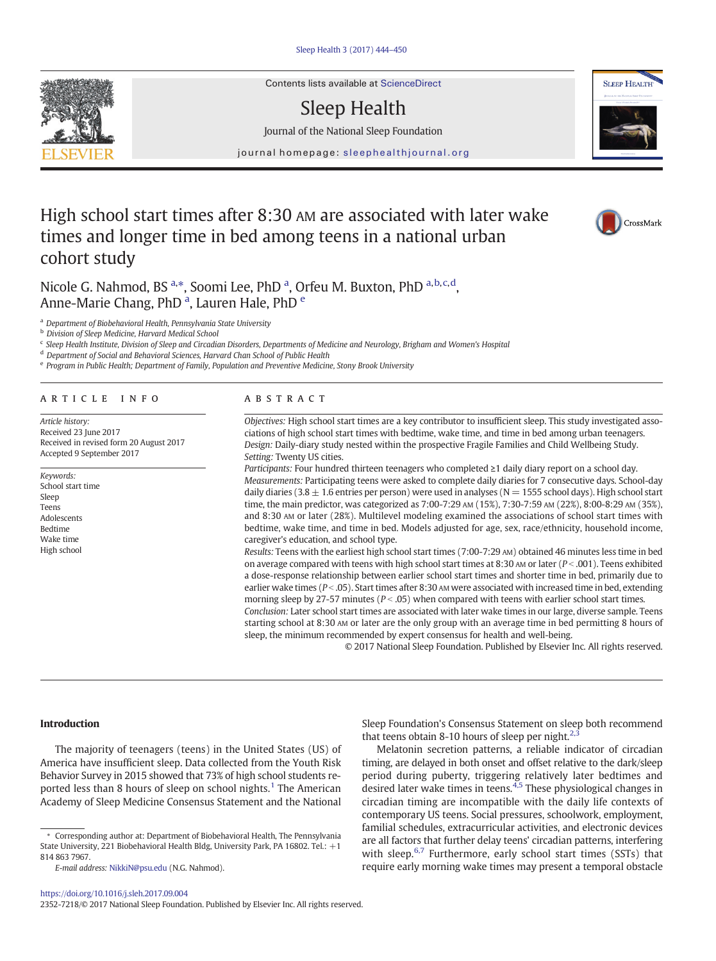

Contents lists available at ScienceDirect

# Sleep Health

Journal of the National Sleep Foundation

journal homepage: [sleephealthjournal.org](http://www.sleephealthjournal.org23527218)



# High school start times after 8:30 AM are associated with later wake times and longer time in bed among teens in a national urban cohort study



Nicole G. Nahmod, BS<sup>a,\*</sup>, Soomi Lee, PhD<sup>a</sup>, Orfeu M. Buxton, PhD<sup>a,b,c,d</sup>, Anne-Marie Chang, PhD<sup>a</sup>, Lauren Hale, PhD<sup>e</sup>

<sup>a</sup> Department of Biobehavioral Health, Pennsylvania State University

**b** Division of Sleep Medicine, Harvard Medical School

<sup>c</sup> Sleep Health Institute, Division of Sleep and Circadian Disorders, Departments of Medicine and Neurology, Brigham and Women's Hospital

<sup>d</sup> Department of Social and Behavioral Sciences, Harvard Chan School of Public Health

<sup>e</sup> Program in Public Health; Department of Family, Population and Preventive Medicine, Stony Brook University

# article info abstract

Article history: Received 23 June 2017 Received in revised form 20 August 2017 Accepted 9 September 2017

Keywords: School start time Sleep Teens Adolescents Bedtime Wake time High school

Objectives: High school start times are a key contributor to insufficient sleep. This study investigated associations of high school start times with bedtime, wake time, and time in bed among urban teenagers. Design: Daily-diary study nested within the prospective Fragile Families and Child Wellbeing Study. Setting: Twenty US cities.

Participants: Four hundred thirteen teenagers who completed ≥1 daily diary report on a school day. Measurements: Participating teens were asked to complete daily diaries for 7 consecutive days. School-day daily diaries (3.8  $\pm$  1.6 entries per person) were used in analyses (N = 1555 school days). High school start time, the main predictor, was categorized as 7:00-7:29 AM (15%), 7:30-7:59 AM (22%), 8:00-8:29 AM (35%), and 8:30 AM or later (28%). Multilevel modeling examined the associations of school start times with bedtime, wake time, and time in bed. Models adjusted for age, sex, race/ethnicity, household income, caregiver's education, and school type.

Results: Teens with the earliest high school start times (7:00-7:29 AM) obtained 46 minutes less time in bed on average compared with teens with high school start times at 8:30 AM or later ( $P < .001$ ). Teens exhibited a dose-response relationship between earlier school start times and shorter time in bed, primarily due to earlier wake times ( $P < .05$ ). Start times after 8:30 AM were associated with increased time in bed, extending morning sleep by 27-57 minutes ( $P < .05$ ) when compared with teens with earlier school start times.

Conclusion: Later school start times are associated with later wake times in our large, diverse sample. Teens starting school at 8:30 AM or later are the only group with an average time in bed permitting 8 hours of sleep, the minimum recommended by expert consensus for health and well-being.

© 2017 National Sleep Foundation. Published by Elsevier Inc. All rights reserved.

### Introduction

The majority of teenagers (teens) in the United States (US) of America have insufficient sleep. Data collected from the Youth Risk Behavior Survey in 2015 showed that 73% of high school students re-ported less than 8 hours of sleep on school nights[.](#page-5-0)<sup>[1](#page-5-0)</sup> The American Academy of Sleep Medicine Consensus Statement and the National



Melatonin secretion patterns, a reliable indicator of circadian timing, are delayed in both onset and offset relative to the dark/sleep period during puberty, triggering relatively later bedtimes and desired later wake times in teens[.](#page-5-0)[4,5](#page-5-0) These physiological changes in circadian timing are incompatible with the daily life contexts of contemporary US teens. Social pressures, schoolwork, employment, familial schedules, extracurricular activities, and electronic devices are all factors that further delay teens' circadian patterns, interfering with sleep[.](#page-5-0) $6,7$  Furthermore, early school start times (SSTs) that require early morning wake times may present a temporal obstacle

<sup>⁎</sup> Corresponding author at: Department of Biobehavioral Health, The Pennsylvania State University, 221 Biobehavioral Health Bldg, University Park, PA 16802. Tel.: +1 814 863 7967.

E-mail address: [NikkiN@psu.edu](mailto:NikkiN@psu.edu) (N.G. Nahmod).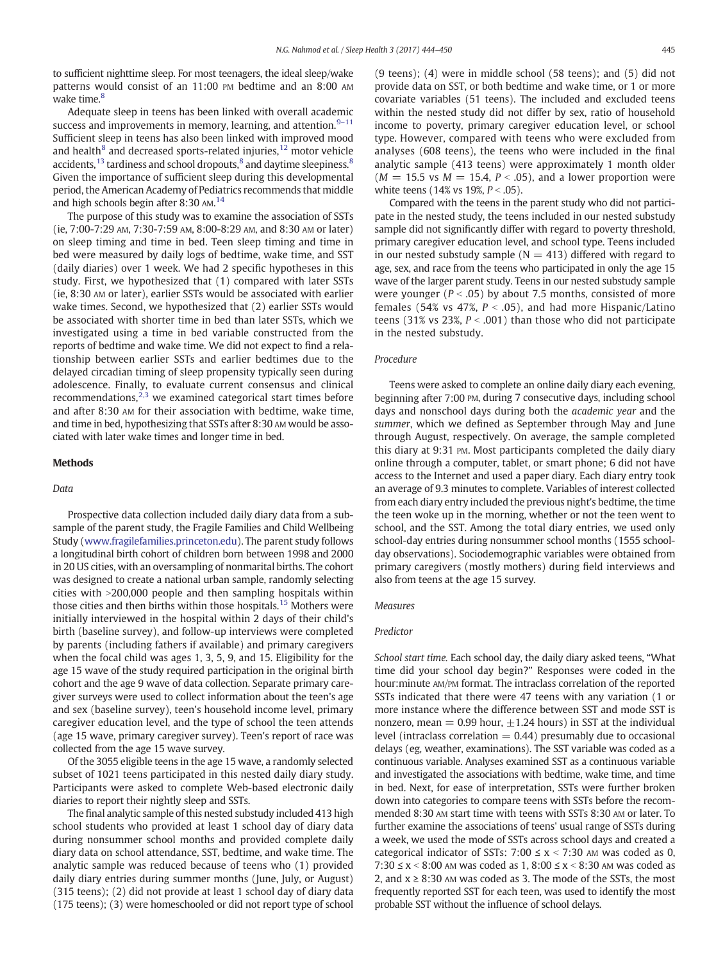to sufficient nighttime sleep. For most teenagers, the ideal sleep/wake patterns would consist of an 11:00 PM bedtime and an 8:00 AM wake time[.](#page-5-0)<sup>[8](#page-5-0)</sup>

Adequate sleep in teens has been linked with overall academic success and improvements in memory, learning, and attention[.](#page-5-0) $9-11$  $9-11$ Sufficient sleep in teens has also been linked with improved mood and [h](#page-5-0)ealth $^8$  $^8$  and decreased sports-related injuries[,](#page-6-0)  $^{12}$  $^{12}$  $^{12}$  motor vehicle accidents[,](#page-5-0)  $13$  tardiness and school dropouts, $8$  and daytime sleepiness[.](#page-5-0)  $8$ Given the importance of sufficient sleep during this developmental period, the American Academy of Pediatrics recommends that middle and high schools begin after 8:30 AM[.](#page-6-0)<sup>[14](#page-6-0)</sup>

The purpose of this study was to examine the association of SSTs (ie, 7:00-7:29 AM, 7:30-7:59 AM, 8:00-8:29 AM, and 8:30 AM or later) on sleep timing and time in bed. Teen sleep timing and time in bed were measured by daily logs of bedtime, wake time, and SST (daily diaries) over 1 week. We had 2 specific hypotheses in this study. First, we hypothesized that (1) compared with later SSTs (ie, 8:30 AM or later), earlier SSTs would be associated with earlier wake times. Second, we hypothesized that (2) earlier SSTs would be associated with shorter time in bed than later SSTs, which we investigated using a time in bed variable constructed from the reports of bedtime and wake time. We did not expect to find a relationship between earlier SSTs and earlier bedtimes due to the delayed circadian timing of sleep propensity typically seen during adolescence. Finally, to evaluate current consensus and clinical recommendations[,](#page-5-0) $2,3$  we examined categorical start times before and after 8:30 AM for their association with bedtime, wake time, and time in bed, hypothesizing that SSTs after 8:30 AM would be associated with later wake times and longer time in bed.

# **Methods**

#### Data

Prospective data collection included daily diary data from a subsample of the parent study, the Fragile Families and Child Wellbeing Study [\(www.fragilefamilies.princeton.edu\)](http://www.fragilefamilies.princeton.edu). The parent study follows a longitudinal birth cohort of children born between 1998 and 2000 in 20 US cities, with an oversampling of nonmarital births. The cohort was designed to create a national urban sample, randomly selecting cities with  $>$ 200,000 people and then sampling hospitals within those cities and then births within those hospitals[.](#page-6-0)<sup>[15](#page-6-0)</sup> Mothers were initially interviewed in the hospital within 2 days of their child's birth (baseline survey), and follow-up interviews were completed by parents (including fathers if available) and primary caregivers when the focal child was ages 1, 3, 5, 9, and 15. Eligibility for the age 15 wave of the study required participation in the original birth cohort and the age 9 wave of data collection. Separate primary caregiver surveys were used to collect information about the teen's age and sex (baseline survey), teen's household income level, primary caregiver education level, and the type of school the teen attends (age 15 wave, primary caregiver survey). Teen's report of race was collected from the age 15 wave survey.

Of the 3055 eligible teens in the age 15 wave, a randomly selected subset of 1021 teens participated in this nested daily diary study. Participants were asked to complete Web-based electronic daily diaries to report their nightly sleep and SSTs.

The final analytic sample of this nested substudy included 413 high school students who provided at least 1 school day of diary data during nonsummer school months and provided complete daily diary data on school attendance, SST, bedtime, and wake time. The analytic sample was reduced because of teens who (1) provided daily diary entries during summer months (June, July, or August) (315 teens); (2) did not provide at least 1 school day of diary data (175 teens); (3) were homeschooled or did not report type of school

(9 teens); (4) were in middle school (58 teens); and (5) did not provide data on SST, or both bedtime and wake time, or 1 or more covariate variables (51 teens). The included and excluded teens within the nested study did not differ by sex, ratio of household income to poverty, primary caregiver education level, or school type. However, compared with teens who were excluded from analyses (608 teens), the teens who were included in the final analytic sample (413 teens) were approximately 1 month older  $(M = 15.5 \text{ vs } M = 15.4, P < .05)$ , and a lower proportion were white teens (14% vs 19%,  $P < .05$ ).

Compared with the teens in the parent study who did not participate in the nested study, the teens included in our nested substudy sample did not significantly differ with regard to poverty threshold, primary caregiver education level, and school type. Teens included in our nested substudy sample ( $N = 413$ ) differed with regard to age, sex, and race from the teens who participated in only the age 15 wave of the larger parent study. Teens in our nested substudy sample were younger ( $P < .05$ ) by about 7.5 months, consisted of more females (54% vs 47%,  $P < .05$ ), and had more Hispanic/Latino teens (31% vs 23%,  $P < .001$ ) than those who did not participate in the nested substudy.

# Procedure

Teens were asked to complete an online daily diary each evening, beginning after 7:00 PM, during 7 consecutive days, including school days and nonschool days during both the academic year and the summer, which we defined as September through May and June through August, respectively. On average, the sample completed this diary at 9:31 PM. Most participants completed the daily diary online through a computer, tablet, or smart phone; 6 did not have access to the Internet and used a paper diary. Each diary entry took an average of 9.3 minutes to complete. Variables of interest collected from each diary entry included the previous night's bedtime, the time the teen woke up in the morning, whether or not the teen went to school, and the SST. Among the total diary entries, we used only school-day entries during nonsummer school months (1555 schoolday observations). Sociodemographic variables were obtained from primary caregivers (mostly mothers) during field interviews and also from teens at the age 15 survey.

#### Measures

# Predictor

School start time. Each school day, the daily diary asked teens, "What time did your school day begin?" Responses were coded in the hour:minute AM/PM format. The intraclass correlation of the reported SSTs indicated that there were 47 teens with any variation (1 or more instance where the difference between SST and mode SST is nonzero, mean = 0.99 hour,  $\pm$ 1.24 hours) in SST at the individual level (intraclass correlation  $= 0.44$ ) presumably due to occasional delays (eg, weather, examinations). The SST variable was coded as a continuous variable. Analyses examined SST as a continuous variable and investigated the associations with bedtime, wake time, and time in bed. Next, for ease of interpretation, SSTs were further broken down into categories to compare teens with SSTs before the recommended 8:30 AM start time with teens with SSTs 8:30 AM or later. To further examine the associations of teens' usual range of SSTs during a week, we used the mode of SSTs across school days and created a categorical indicator of SSTs: 7:00  $\leq$  x  $\leq$  7:30 AM was coded as 0, 7:30 ≤ x < 8:00 AM was coded as 1, 8:00 ≤ x < 8:30 AM was coded as 2, and  $x$  ≥ 8:30 AM was coded as 3. The mode of the SSTs, the most frequently reported SST for each teen, was used to identify the most probable SST without the influence of school delays.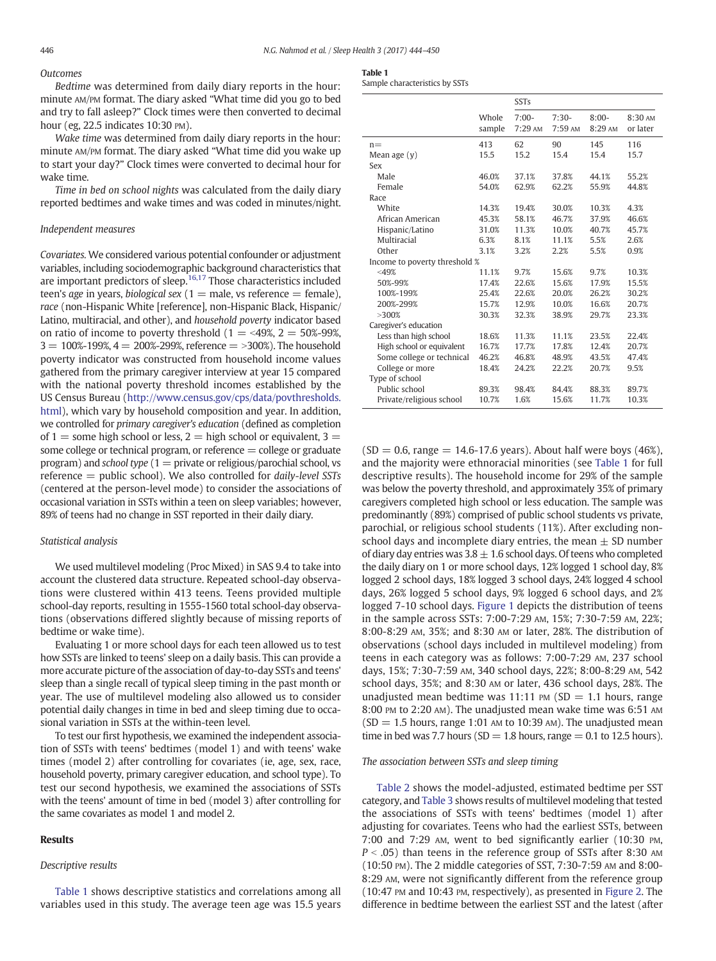# **Outcomes**

Bedtime was determined from daily diary reports in the hour: minute AM/PM format. The diary asked "What time did you go to bed and try to fall asleep?" Clock times were then converted to decimal hour (eg, 22.5 indicates 10:30 PM).

Wake time was determined from daily diary reports in the hour: minute AM/PM format. The diary asked "What time did you wake up to start your day?" Clock times were converted to decimal hour for wake time.

Time in bed on school nights was calculated from the daily diary reported bedtimes and wake times and was coded in minutes/night.

# Independent measures

Covariates. We considered various potential confounder or adjustment variables, including sociodemographic background characteristics that are important predictors of sleep[.](#page-6-0)<sup>[16,17](#page-6-0)</sup> Those characteristics included teen's age in years, biological sex  $(1 =$  male, vs reference  $=$  female), race (non-Hispanic White [reference], non-Hispanic Black, Hispanic/ Latino, multiracial, and other), and household poverty indicator based on ratio of income to poverty threshold  $(1 = 49\%, 2 = 50\% - 99\%$ ,  $3 = 100\% - 199\%, 4 = 200\% - 299\%,$  reference  $=$  >300%). The household poverty indicator was constructed from household income values gathered from the primary caregiver interview at year 15 compared with the national poverty threshold incomes established by the US Census Bureau [\(http://www.census.gov/cps/data/povthresholds.](http://www.census.gov/cps/data/povthresholds.html) [html\)](http://www.census.gov/cps/data/povthresholds.html), which vary by household composition and year. In addition, we controlled for primary caregiver's education (defined as completion of  $1 =$  some high school or less,  $2 =$  high school or equivalent,  $3 =$ some college or technical program, or reference  $=$  college or graduate program) and school type ( $1 =$  private or religious/parochial school, vs reference  $=$  public school). We also controlled for *daily-level* SSTs (centered at the person-level mode) to consider the associations of occasional variation in SSTs within a teen on sleep variables; however, 89% of teens had no change in SST reported in their daily diary.

#### Statistical analysis

We used multilevel modeling (Proc Mixed) in SAS 9.4 to take into account the clustered data structure. Repeated school-day observations were clustered within 413 teens. Teens provided multiple school-day reports, resulting in 1555-1560 total school-day observations (observations differed slightly because of missing reports of bedtime or wake time).

Evaluating 1 or more school days for each teen allowed us to test how SSTs are linked to teens' sleep on a daily basis. This can provide a more accurate picture of the association of day-to-day SSTs and teens' sleep than a single recall of typical sleep timing in the past month or year. The use of multilevel modeling also allowed us to consider potential daily changes in time in bed and sleep timing due to occasional variation in SSTs at the within-teen level.

To test our first hypothesis, we examined the independent association of SSTs with teens' bedtimes (model 1) and with teens' wake times (model 2) after controlling for covariates (ie, age, sex, race, household poverty, primary caregiver education, and school type). To test our second hypothesis, we examined the associations of SSTs with the teens' amount of time in bed (model 3) after controlling for the same covariates as model 1 and model 2.

# Results

## Descriptive results

Table 1 shows descriptive statistics and correlations among all variables used in this study. The average teen age was 15.5 years

Sample characteristics by SSTs

|                               |                 | <b>SSTs</b>        |                    |                    |                     |  |
|-------------------------------|-----------------|--------------------|--------------------|--------------------|---------------------|--|
|                               | Whole<br>sample | $7:00-$<br>7:29 AM | $7:30-$<br>7:59 AM | $8:00-$<br>8:29 AM | 8:30 AM<br>or later |  |
| $n =$                         | 413             | 62                 | 90                 | 145                | 116                 |  |
| Mean age $(y)$                | 15.5            | 15.2               | 15.4               | 15.4               | 15.7                |  |
| Sex                           |                 |                    |                    |                    |                     |  |
| Male                          | 46.0%           | 37.1%              | 37.8%              | 44.1%              | 55.2%               |  |
| Female                        | 54.0%           | 62.9%              | 62.2%              | 55.9%              | 44.8%               |  |
| Race                          |                 |                    |                    |                    |                     |  |
| White                         | 14.3%           | 19.4%              | 30.0%              | 10.3%              | 4.3%                |  |
| African American              | 45.3%           | 58.1%              | 46.7%              | 37.9%              | 46.6%               |  |
| Hispanic/Latino               | 31.0%           | 11.3%              | 10.0%              | 40.7%              | 45.7%               |  |
| Multiracial                   | 6.3%            | 8.1%               | 11.1%              | 5.5%               | 2.6%                |  |
| Other                         | 3.1%            | 3.2%               | 2.2%               | 5.5%               | 0.9%                |  |
| Income to poverty threshold % |                 |                    |                    |                    |                     |  |
| $<$ 49%                       | 11.1%           | 9.7%               | 15.6%              | 9.7%               | 10.3%               |  |
| 50%-99%                       | 17.4%           | 22.6%              | 15.6%              | 17.9%              | 15.5%               |  |
| 100%-199%                     | 25.4%           | 22.6%              | 20.0%              | 26.2%              | 30.2%               |  |
| 200%-299%                     | 15.7%           | 12.9%              | 10.0%              | 16.6%              | 20.7%               |  |
| >300%                         | 30.3%           | 32.3%              | 38.9%              | 29.7%              | 23.3%               |  |
| Caregiver's education         |                 |                    |                    |                    |                     |  |
| Less than high school         | 18.6%           | 11.3%              | 11.1%              | 23.5%              | 22.4%               |  |
| High school or equivalent     | 16.7%           | 17.7%              | 17.8%              | 12.4%              | 20.7%               |  |
| Some college or technical     | 46.2%           | 46.8%              | 48.9%              | 43.5%              | 47.4%               |  |
| College or more               | 18.4%           | 24.2%              | 22.2%              | 20.7%              | 9.5%                |  |
| Type of school                |                 |                    |                    |                    |                     |  |
| Public school                 | 89.3%           | 98.4%              | 84.4%              | 88.3%              | 89.7%               |  |
| Private/religious school      | 10.7%           | 1.6%               | 15.6%              | 11.7%              | 10.3%               |  |

 $(SD = 0.6$ , range = 14.6-17.6 years). About half were boys (46%), and the majority were ethnoracial minorities (see Table 1 for full descriptive results). The household income for 29% of the sample was below the poverty threshold, and approximately 35% of primary caregivers completed high school or less education. The sample was predominantly (89%) comprised of public school students vs private, parochial, or religious school students (11%). After excluding nonschool days and incomplete diary entries, the mean  $\pm$  SD number of diary day entries was  $3.8 \pm 1.6$  school days. Of teens who completed the daily diary on 1 or more school days, 12% logged 1 school day, 8% logged 2 school days, 18% logged 3 school days, 24% logged 4 school days, 26% logged 5 school days, 9% logged 6 school days, and 2% logged 7-10 school days. [Figure 1](#page-3-0) depicts the distribution of teens in the sample across SSTs: 7:00-7:29 AM, 15%; 7:30-7:59 AM, 22%; 8:00-8:29 AM, 35%; and 8:30 AM or later, 28%. The distribution of observations (school days included in multilevel modeling) from teens in each category was as follows: 7:00-7:29 AM, 237 school days, 15%; 7:30-7:59 AM, 340 school days, 22%; 8:00-8:29 AM, 542 school days, 35%; and 8:30 AM or later, 436 school days, 28%. The unadjusted mean bedtime was 11:11 PM (SD = 1.1 hours, range 8:00 PM to 2:20 AM). The unadjusted mean wake time was 6:51 AM  $(SD = 1.5$  hours, range 1:01 AM to 10:39 AM). The unadjusted mean time in bed was 7.7 hours (SD = 1.8 hours, range = 0.1 to 12.5 hours).

# The association between SSTs and sleep timing

[Table 2](#page-3-0) shows the model-adjusted, estimated bedtime per SST category, and [Table 3](#page-4-0) shows results of multilevel modeling that tested the associations of SSTs with teens' bedtimes (model 1) after adjusting for covariates. Teens who had the earliest SSTs, between 7:00 and 7:29 AM, went to bed significantly earlier (10:30 PM,  $P < .05$ ) than teens in the reference group of SSTs after 8:30 AM (10:50 PM). The 2 middle categories of SST, 7:30-7:59 AM and 8:00- 8:29 AM, were not significantly different from the reference group (10:47 PM and 10:43 PM, respectively), as presented in [Figure 2](#page-5-0). The difference in bedtime between the earliest SST and the latest (after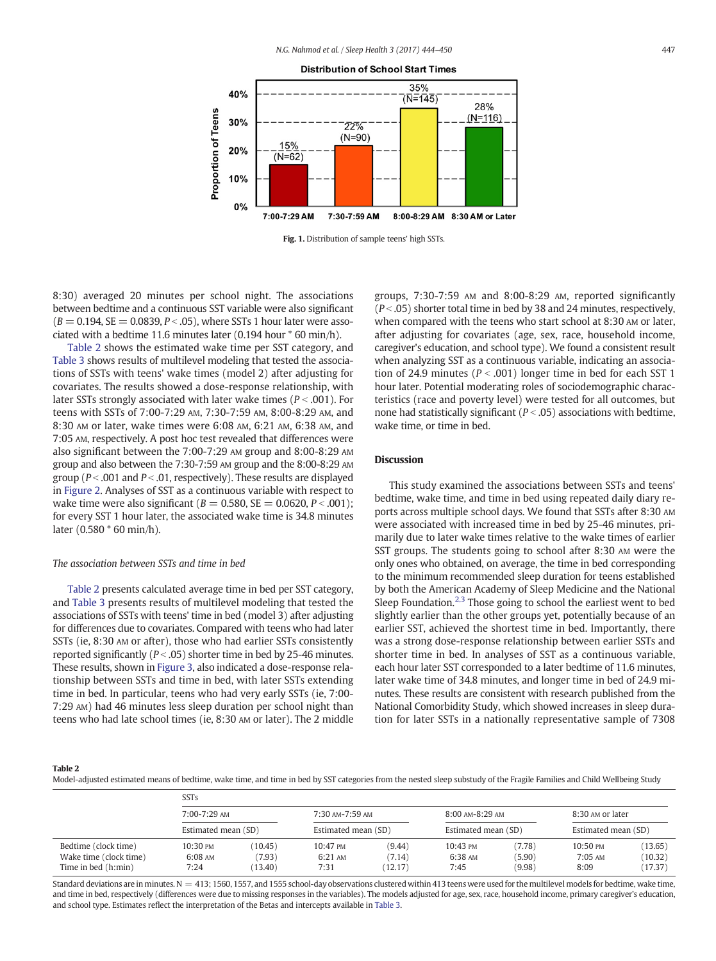<span id="page-3-0"></span>

Fig. 1. Distribution of sample teens' high SSTs.

8:30) averaged 20 minutes per school night. The associations between bedtime and a continuous SST variable were also significant  $(B = 0.194, SE = 0.0839, P < .05)$ , where SSTs 1 hour later were associated with a bedtime 11.6 minutes later (0.194 hour \* 60 min/h).

Table 2 shows the estimated wake time per SST category, and [Table 3](#page-4-0) shows results of multilevel modeling that tested the associations of SSTs with teens' wake times (model 2) after adjusting for covariates. The results showed a dose-response relationship, with later SSTs strongly associated with later wake times ( $P < .001$ ). For teens with SSTs of 7:00-7:29 AM, 7:30-7:59 AM, 8:00-8:29 AM, and 8:30 AM or later, wake times were 6:08 AM, 6:21 AM, 6:38 AM, and 7:05 AM, respectively. A post hoc test revealed that differences were also significant between the 7:00-7:29 AM group and 8:00-8:29 AM group and also between the 7:30-7:59 AM group and the 8:00-8:29 AM group ( $P < .001$  and  $P < .01$ , respectively). These results are displayed in [Figure 2.](#page-5-0) Analyses of SST as a continuous variable with respect to wake time were also significant ( $B = 0.580$ ,  $SE = 0.0620$ ,  $P < .001$ ); for every SST 1 hour later, the associated wake time is 34.8 minutes later (0.580 \* 60 min/h).

#### The association between SSTs and time in bed

Table 2 presents calculated average time in bed per SST category, and [Table 3](#page-4-0) presents results of multilevel modeling that tested the associations of SSTs with teens' time in bed (model 3) after adjusting for differences due to covariates. Compared with teens who had later SSTs (ie, 8:30 AM or after), those who had earlier SSTs consistently reported significantly ( $P < .05$ ) shorter time in bed by 25-46 minutes. These results, shown in [Figure 3](#page-5-0), also indicated a dose-response relationship between SSTs and time in bed, with later SSTs extending time in bed. In particular, teens who had very early SSTs (ie, 7:00- 7:29 AM) had 46 minutes less sleep duration per school night than teens who had late school times (ie, 8:30 AM or later). The 2 middle

groups, 7:30-7:59 AM and 8:00-8:29 AM, reported significantly  $(P < .05)$  shorter total time in bed by 38 and 24 minutes, respectively, when compared with the teens who start school at 8:30 AM or later, after adjusting for covariates (age, sex, race, household income, caregiver's education, and school type). We found a consistent result when analyzing SST as a continuous variable, indicating an association of 24.9 minutes ( $P < .001$ ) longer time in bed for each SST 1 hour later. Potential moderating roles of sociodemographic characteristics (race and poverty level) were tested for all outcomes, but none had statistically significant ( $P < .05$ ) associations with bedtime, wake time, or time in bed.

# Discussion

This study examined the associations between SSTs and teens' bedtime, wake time, and time in bed using repeated daily diary reports across multiple school days. We found that SSTs after 8:30 AM were associated with increased time in bed by 25-46 minutes, primarily due to later wake times relative to the wake times of earlier SST groups. The students going to school after 8:30 AM were the only ones who obtained, on average, the time in bed corresponding to the minimum recommended sleep duration for teens established by both the American Academy of Sleep Medicine and the National Sleep Foundation[.](#page-5-0) $2.3$  Those going to school the earliest went to bed slightly earlier than the other groups yet, potentially because of an earlier SST, achieved the shortest time in bed. Importantly, there was a strong dose-response relationship between earlier SSTs and shorter time in bed. In analyses of SST as a continuous variable, each hour later SST corresponded to a later bedtime of 11.6 minutes, later wake time of 34.8 minutes, and longer time in bed of 24.9 minutes. These results are consistent with research published from the National Comorbidity Study, which showed increases in sleep duration for later SSTs in a nationally representative sample of 7308

Table 2

Model-adjusted estimated means of bedtime, wake time, and time in bed by SST categories from the nested sleep substudy of the Fragile Families and Child Wellbeing Study

|                        | SSTs                |         |                     |        |                     |        |                     |         |
|------------------------|---------------------|---------|---------------------|--------|---------------------|--------|---------------------|---------|
|                        | 7:00-7:29 AM        |         | $7:30$ AM-7:59 AM   |        | 8:00 AM-8:29 AM     |        | 8:30 AM or later    |         |
|                        | Estimated mean (SD) |         | Estimated mean (SD) |        | Estimated mean (SD) |        | Estimated mean (SD) |         |
| Bedtime (clock time)   | 10:30 PM            | (10.45) | 10:47 PM            | (9.44) | 10:43 PM            | (7.78) | 10:50 PM            | (13.65) |
| Wake time (clock time) | $6:08$ AM           | (7.93)  | 6:21 AM             | (7.14) | 6:38 AM             | (5.90) | $7:05$ AM           | (10.32) |
| Time in bed (h;min)    | 7:24                | (13.40) | 7:31                | 12.17) | 7:45                | (9.98) | 8:09                | (17.37) |

Standard deviations are in minutes. N = 413; 1560, 1557, and 1555 school-day observations clustered within 413 teens were used for the multilevel models for bedtime, wake time, and time in bed, respectively (differences were due to missing responses in the variables). The models adjusted for age, sex, race, household income, primary caregiver's education, and school type. Estimates reflect the interpretation of the Betas and intercepts available in [Table 3](#page-4-0).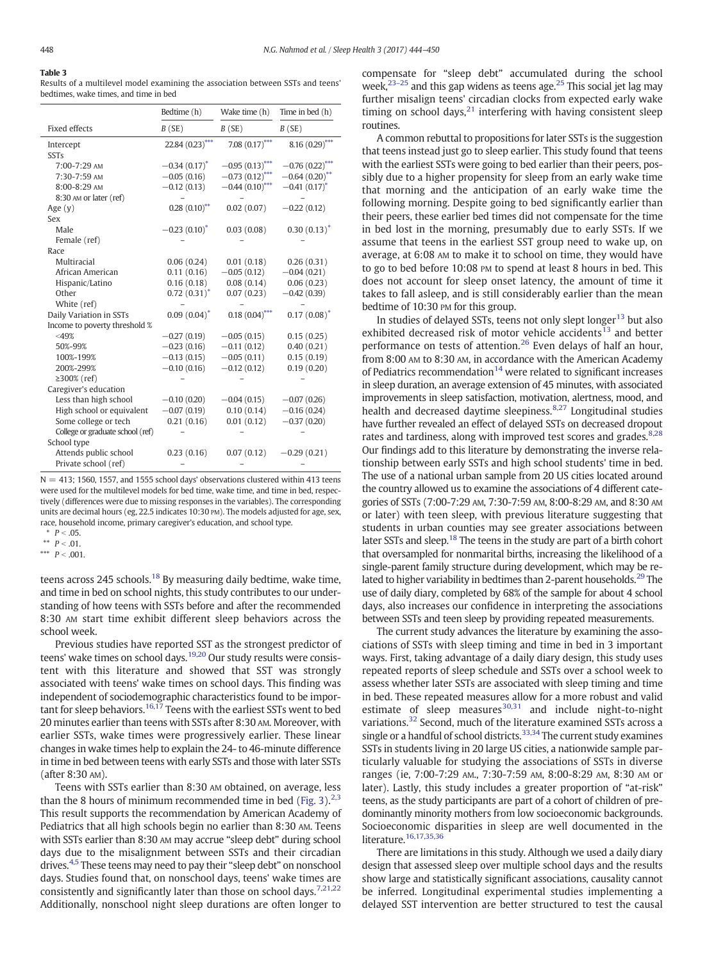# <span id="page-4-0"></span>Table 3

Results of a multilevel model examining the association between SSTs and teens' bedtimes, wake times, and time in bed

|                                  | Bedtime (h)       | Wake time (h)     | Time in bed (h)  |
|----------------------------------|-------------------|-------------------|------------------|
| <b>Fixed effects</b>             | B(SE)             | B(SE)             | B(SE)            |
| Intercept                        | 22.84 (0.23)***   | 7.08 $(0.17)$ *** | $8.16(0.29)$ **  |
| <b>SSTs</b>                      |                   |                   |                  |
| 7:00-7:29 AM                     | $-0.34(0.17)^{*}$ | $-0.95(0.13)$     | $-0.76(0.22)$    |
| 7:30-7:59 AM                     | $-0.05(0.16)$     | $-0.73(0.12)$     | $-0.64(0.20)$ ** |
| 8:00-8:29 AM                     | $-0.12(0.13)$     | $-0.44(0.10)$ *** | $-0.41(0.17)^*$  |
| 8:30 AM or later (ref)           |                   |                   |                  |
| Age $(y)$                        | $0.28(0.10)$ **   | 0.02(0.07)        | $-0.22(0.12)$    |
| Sex                              |                   |                   |                  |
| Male                             | $-0.23(0.10)^*$   | 0.03(0.08)        | $0.30(0.13)^*$   |
| Female (ref)                     |                   |                   |                  |
| Race                             |                   |                   |                  |
| Multiracial                      | 0.06(0.24)        | 0.01(0.18)        | 0.26(0.31)       |
| African American                 | 0.11(0.16)        | $-0.05(0.12)$     | $-0.04(0.21)$    |
| Hispanic/Latino                  | 0.16(0.18)        | 0.08(0.14)        | 0.06(0.23)       |
| Other                            | $0.72(0.31)^*$    | 0.07(0.23)        | $-0.42(0.39)$    |
| White (ref)                      |                   |                   |                  |
| Daily Variation in SSTs          | $0.09(0.04)^*$    | $0.18(0.04)$ ***  | $0.17(0.08)^*$   |
| Income to poverty threshold %    |                   |                   |                  |
| $<$ 49%                          | $-0.27(0.19)$     | $-0.05(0.15)$     | 0.15(0.25)       |
| 50%-99%                          | $-0.23(0.16)$     | $-0.11(0.12)$     | 0.40(0.21)       |
| 100%-199%                        | $-0.13(0.15)$     | $-0.05(0.11)$     | 0.15(0.19)       |
| 200%-299%                        | $-0.10(0.16)$     | $-0.12(0.12)$     | 0.19(0.20)       |
| ≥300% (ref)                      |                   |                   |                  |
| Caregiver's education            |                   |                   |                  |
| Less than high school            | $-0.10(0.20)$     | $-0.04(0.15)$     | $-0.07(0.26)$    |
| High school or equivalent        | $-0.07(0.19)$     | 0.10(0.14)        | $-0.16(0.24)$    |
| Some college or tech             | 0.21(0.16)        | 0.01(0.12)        | $-0.37(0.20)$    |
| College or graduate school (ref) |                   |                   |                  |
| School type                      |                   |                   |                  |
| Attends public school            | 0.23(0.16)        | 0.07(0.12)        | $-0.29(0.21)$    |
| Private school (ref)             |                   |                   |                  |

 $N = 413$ ; 1560, 1557, and 1555 school days' observations clustered within 413 teens were used for the multilevel models for bed time, wake time, and time in bed, respectively (differences were due to missing responses in the variables). The corresponding units are decimal hours (eg, 22.5 indicates 10:30 PM). The models adjusted for age, sex, race, household income, primary caregiver's education, and school type.

\*\*  $P < .01$ .

\*\*\*  $P < .001$ .

teens across 245 schools[.](#page-6-0)<sup>[18](#page-6-0)</sup> By measuring daily bedtime, wake time, and time in bed on school nights, this study contributes to our understanding of how teens with SSTs before and after the recommended 8:30 AM start time exhibit different sleep behaviors across the school week.

Previous studies have reported SST as the strongest predictor of teens' wake times on school days[.](#page-6-0)<sup>[19,20](#page-6-0)</sup> Our study results were consistent with this literature and showed that SST was strongly associated with teens' wake times on school days. This finding was independent of sociodemographic characteristics found to be impor-tant for sleep behaviors[.](#page-6-0)<sup>[16,17](#page-6-0)</sup> Teens with the earliest SSTs went to bed 20 minutes earlier than teens with SSTs after 8:30 AM. Moreover, with earlier SSTs, wake times were progressively earlier. These linear changes in wake times help to explain the 24- to 46-minute difference in time in bed between teens with early SSTs and those with later SSTs (after 8:30 AM).

Teens with SSTs earlier than 8:30 AM obtained, on average, less than the 8 hours of minimum recommended time in bed [\(Fig. 3\).](#page-5-0) $2,3$ This result supports the recommendation by American Academy of Pediatrics that all high schools begin no earlier than 8:30 AM. Teens with SSTs earlier than 8:30 AM may accrue "sleep debt" during school days due to the misalignment between SSTs and their circadian drives[.](#page-5-0)[4,5](#page-5-0) These teens may need to pay their "sleep debt" on nonschool days. Studies found that, on nonschool days, teens' wake times are consistently and significantly later than those on school days[.](#page-5-0)<sup>[7,21,22](#page-5-0)</sup> Additionally, nonschool night sleep durations are often longer to

compensate for "sleep debt" accumulated during the school week[,](#page-6-0) $^{23-25}$  $^{23-25}$  $^{23-25}$  $^{23-25}$  $^{23-25}$  and this gap widens as teens age[.](#page-6-0)<sup>25</sup> This social jet lag may further misalign teens' circadian clocks from expected early wake timing on school days[,](#page-6-0) $^{21}$  $^{21}$  $^{21}$  interfering with having consistent sleep routines.

A common rebuttal to propositions for later SSTs is the suggestion that teens instead just go to sleep earlier. This study found that teens with the earliest SSTs were going to bed earlier than their peers, possibly due to a higher propensity for sleep from an early wake time that morning and the anticipation of an early wake time the following morning. Despite going to bed significantly earlier than their peers, these earlier bed times did not compensate for the time in bed lost in the morning, presumably due to early SSTs. If we assume that teens in the earliest SST group need to wake up, on average, at 6:08 AM to make it to school on time, they would have to go to bed before 10:08 PM to spend at least 8 hours in bed. This does not account for sleep onset latency, the amount of time it takes to fall asleep, and is still considerably earlier than the mean bedtime of 10:30 PM for this group.

In studies of delayed SSTs, teens not only slept longe[r](#page-6-0) $13$  but also exhibited decrea[s](#page-6-0)ed risk of motor vehicle accidents<sup>[13](#page-6-0)</sup> and better performance on tests of attention[.](#page-6-0)[26](#page-6-0) Even delays of half an hour, from 8:00 AM to 8:30 AM, in accordance with the American Academy of Pediatrics recomme[n](#page-6-0)dation $14$  were related to significant increases in sleep duration, an average extension of 45 minutes, with associated improvements in sleep satisfaction, motivation, alertness, mood, and health and decreased daytime sleepiness[.](#page-5-0)<sup>[8,27](#page-5-0)</sup> Longitudinal studies have further revealed an effect of delayed SSTs on decreased dropout rates and tardiness, along with improved test scores and grades[.](#page-5-0)<sup>[8,28](#page-5-0)</sup> Our findings add to this literature by demonstrating the inverse relationship between early SSTs and high school students' time in bed. The use of a national urban sample from 20 US cities located around the country allowed us to examine the associations of 4 different categories of SSTs (7:00-7:29 AM, 7:30-7:59 AM, 8:00-8:29 AM, and 8:30 AM or later) with teen sleep, with previous literature suggesting that students in urban counties may see greater associations between later SSTs and sleep[.](#page-6-0)<sup>[18](#page-6-0)</sup> The teens in the study are part of a birth cohort that oversampled for nonmarital births, increasing the likelihood of a single-parent family structure during development, which may be re-lated to higher variability in bedtimes than 2-parent households[.](#page-6-0)<sup>[29](#page-6-0)</sup> The use of daily diary, completed by 68% of the sample for about 4 school days, also increases our confidence in interpreting the associations between SSTs and teen sleep by providing repeated measurements.

The current study advances the literature by examining the associations of SSTs with sleep timing and time in bed in 3 important ways. First, taking advantage of a daily diary design, this study uses repeated reports of sleep schedule and SSTs over a school week to assess whether later SSTs are associated with sleep timing and time in bed. These repeated measures allow for a more robust and valid e[s](#page-6-0)timate of sleep measures $30,31$  and include night-to-night variations[.](#page-6-0)[32](#page-6-0) Second, much of the literature examined SSTs across a single or a handful of school districts[.](#page-6-0)<sup>[33,34](#page-6-0)</sup> The current study examines SSTs in students living in 20 large US cities, a nationwide sample particularly valuable for studying the associations of SSTs in diverse ranges (ie, 7:00-7:29 AM., 7:30-7:59 AM, 8:00-8:29 AM, 8:30 AM or later). Lastly, this study includes a greater proportion of "at-risk" teens, as the study participants are part of a cohort of children of predominantly minority mothers from low socioeconomic backgrounds. Socioeconomic disparities in sleep are well documented in the literature[.](#page-6-0) [16,17,35,36](#page-6-0)

There are limitations in this study. Although we used a daily diary design that assessed sleep over multiple school days and the results show large and statistically significant associations, causality cannot be inferred. Longitudinal experimental studies implementing a delayed SST intervention are better structured to test the causal

 $P < .05.$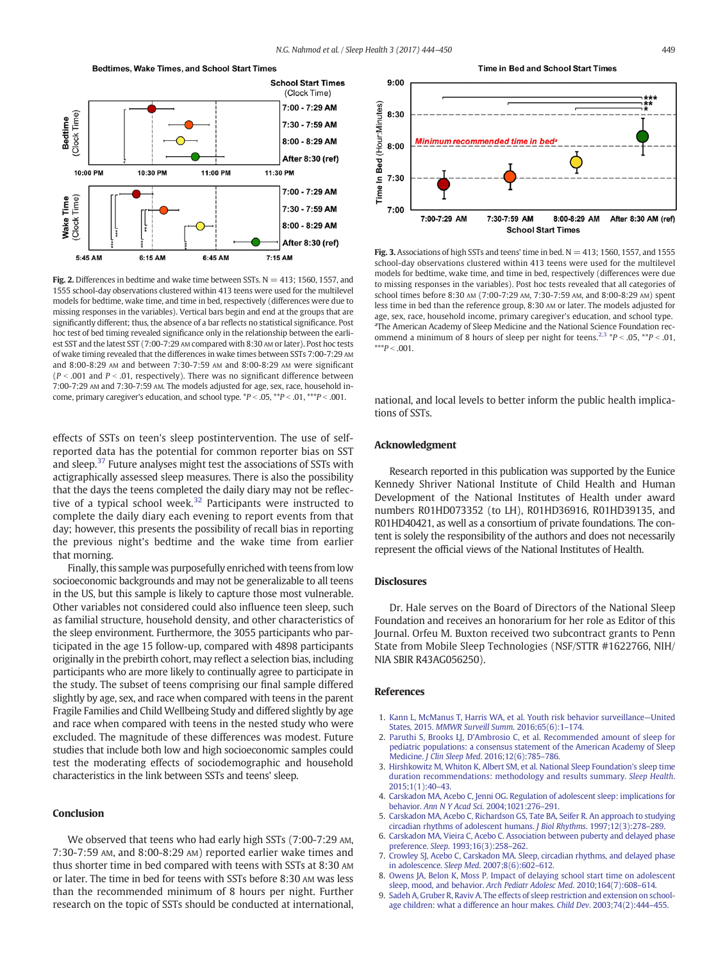<span id="page-5-0"></span>

Fig. 2. Differences in bedtime and wake time between SSTs.  $N = 413$ ; 1560, 1557, and 1555 school-day observations clustered within 413 teens were used for the multilevel models for bedtime, wake time, and time in bed, respectively (differences were due to missing responses in the variables). Vertical bars begin and end at the groups that are significantly different; thus, the absence of a bar reflects no statistical significance. Post hoc test of bed timing revealed significance only in the relationship between the earliest SST and the latest SST (7:00-7:29 AM compared with 8:30 AM or later). Post hoc tests of wake timing revealed that the differences in wake times between SSTs 7:00-7:29 AM and 8:00-8:29 AM and between 7:30-7:59 AM and 8:00-8:29 AM were significant ( $P < .001$  and  $P < .01$ , respectively). There was no significant difference between 7:00-7:29 AM and 7:30-7:59 AM. The models adjusted for age, sex, race, household income, primary caregiver's education, and school type.  $*P < .05$ ,  $**P < .01$ ,  $**P < .001$ .

effects of SSTs on teen's sleep postintervention. The use of selfreported data has the potential for common reporter bias on SST and sleep[.](#page-6-0)<sup>[37](#page-6-0)</sup> Future analyses might test the associations of SSTs with actigraphically assessed sleep measures. There is also the possibility that the days the teens completed the daily diary may not be reflec-tive of a typical school week[.](#page-6-0)<sup>[32](#page-6-0)</sup> Participants were instructed to complete the daily diary each evening to report events from that day; however, this presents the possibility of recall bias in reporting the previous night's bedtime and the wake time from earlier that morning.

Finally, this sample was purposefully enriched with teens from low socioeconomic backgrounds and may not be generalizable to all teens in the US, but this sample is likely to capture those most vulnerable. Other variables not considered could also influence teen sleep, such as familial structure, household density, and other characteristics of the sleep environment. Furthermore, the 3055 participants who participated in the age 15 follow-up, compared with 4898 participants originally in the prebirth cohort, may reflect a selection bias, including participants who are more likely to continually agree to participate in the study. The subset of teens comprising our final sample differed slightly by age, sex, and race when compared with teens in the parent Fragile Families and Child Wellbeing Study and differed slightly by age and race when compared with teens in the nested study who were excluded. The magnitude of these differences was modest. Future studies that include both low and high socioeconomic samples could test the moderating effects of sociodemographic and household characteristics in the link between SSTs and teens' sleep.

# **Conclusion**

We observed that teens who had early high SSTs (7:00-7:29 AM, 7:30-7:59 AM, and 8:00-8:29 AM) reported earlier wake times and thus shorter time in bed compared with teens with SSTs at 8:30 AM or later. The time in bed for teens with SSTs before 8:30 AM was less than the recommended minimum of 8 hours per night. Further research on the topic of SSTs should be conducted at international,





Fig. 3. Associations of high SSTs and teens' time in bed.  $N = 413$ ; 1560, 1557, and 1555 school-day observations clustered within 413 teens were used for the multilevel models for bedtime, wake time, and time in bed, respectively (differences were due to missing responses in the variables). Post hoc tests revealed that all categories of school times before 8:30 AM (7:00-7:29 AM, 7:30-7:59 AM, and 8:00-8:29 AM) spent less time in bed than the reference group, 8:30 AM or later. The models adjusted for age, sex, race, household income, primary caregiver's education, and school type. <sup>a</sup>The American Academy of Sleep Medicine and the National Science Foundation recommend a minimum of 8 hours of sleep per night for teens.<sup>2,3</sup>  $*P < .05$ ,  $**P < .01$ ,  $***P < .001.$ 

national, and local levels to better inform the public health implications of SSTs.

# Acknowledgment

Research reported in this publication was supported by the Eunice Kennedy Shriver National Institute of Child Health and Human Development of the National Institutes of Health under award numbers R01HD073352 (to LH), R01HD36916, R01HD39135, and R01HD40421, as well as a consortium of private foundations. The content is solely the responsibility of the authors and does not necessarily represent the official views of the National Institutes of Health.

#### **Disclosures**

Dr. Hale serves on the Board of Directors of the National Sleep Foundation and receives an honorarium for her role as Editor of this Journal. Orfeu M. Buxton received two subcontract grants to Penn State from Mobile Sleep Technologies (NSF/STTR #1622766, NIH/ NIA SBIR R43AG056250).

#### References

- 1. [Kann L, McManus T, Harris WA, et al. Youth risk behavior surveillance](http://refhub.elsevier.com/S2352-7218(17)30193-6/rf0005)—United States, 2015. [MMWR Surveill Summ](http://refhub.elsevier.com/S2352-7218(17)30193-6/rf0005). 2016;65(6):1–174.
- 2. [Paruthi S, Brooks LJ, D'Ambrosio C, et al. Recommended amount of sleep for](http://refhub.elsevier.com/S2352-7218(17)30193-6/rf0010) [pediatric populations: a consensus statement of the American Academy of Sleep](http://refhub.elsevier.com/S2352-7218(17)30193-6/rf0010) Medicine. J Clin Sleep Med[. 2016;12\(6\):785](http://refhub.elsevier.com/S2352-7218(17)30193-6/rf0010)–786.
- 3. [Hirshkowitz M, Whiton K, Albert SM, et al. National Sleep Foundation's sleep time](http://refhub.elsevier.com/S2352-7218(17)30193-6/rf0015) [duration recommendations: methodology and results summary.](http://refhub.elsevier.com/S2352-7218(17)30193-6/rf0015) Sleep Health. [2015;1\(1\):40](http://refhub.elsevier.com/S2352-7218(17)30193-6/rf0015)–43.
- 4. [Carskadon MA, Acebo C, Jenni OG. Regulation of adolescent sleep: implications for](http://refhub.elsevier.com/S2352-7218(17)30193-6/rf0020) behavior. [Ann N Y Acad Sci](http://refhub.elsevier.com/S2352-7218(17)30193-6/rf0020). 2004;1021:276–291.
- 5. [Carskadon MA, Acebo C, Richardson GS, Tate BA, Seifer R. An approach to studying](http://refhub.elsevier.com/S2352-7218(17)30193-6/rf0025) [circadian rhythms of adolescent humans.](http://refhub.elsevier.com/S2352-7218(17)30193-6/rf0025) J Biol Rhythms. 1997;12(3):278–289.
- 6. [Carskadon MA, Vieira C, Acebo C. Association between puberty and delayed phase](http://refhub.elsevier.com/S2352-7218(17)30193-6/rf0030) preference. Sleep[. 1993;16\(3\):258](http://refhub.elsevier.com/S2352-7218(17)30193-6/rf0030)–262.
- 7. [Crowley SJ, Acebo C, Carskadon MA. Sleep, circadian rhythms, and delayed phase](http://refhub.elsevier.com/S2352-7218(17)30193-6/rf0035) in adolescence. Sleep Med[. 2007;8\(6\):602](http://refhub.elsevier.com/S2352-7218(17)30193-6/rf0035)–612.
- 8. [Owens JA, Belon K, Moss P. Impact of delaying school start time on adolescent](http://refhub.elsevier.com/S2352-7218(17)30193-6/rf0040) [sleep, mood, and behavior.](http://refhub.elsevier.com/S2352-7218(17)30193-6/rf0040) Arch Pediatr Adolesc Med. 2010;164(7):608–614.
- 9. [Sadeh A, Gruber R, Raviv A. The effects of sleep restriction and extension on school](http://refhub.elsevier.com/S2352-7218(17)30193-6/rf0045)[age children: what a difference an hour makes.](http://refhub.elsevier.com/S2352-7218(17)30193-6/rf0045) Child Dev. 2003;74(2):444–455.